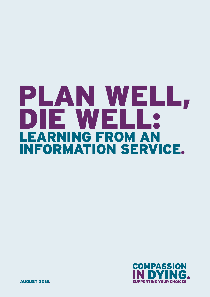# LEARNING FROM AN INFORMATION SERVICE. PLAN WELL, DIE WELL:



AUGUST 2015.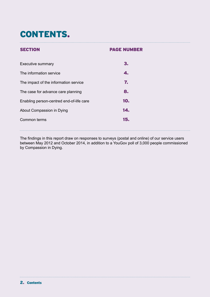# CONTENTS.

| <b>SECTION</b>                           | <b>PAGE NUMBER</b> |  |
|------------------------------------------|--------------------|--|
| <b>Executive summary</b>                 | 3.                 |  |
| The information service                  | 4.                 |  |
| The impact of the information service    | 7.                 |  |
| The case for advance care planning       | 8.                 |  |
| Enabling person-centred end-of-life care | 10.                |  |
| About Compassion in Dying                | 14.                |  |
| Common terms                             | 15.                |  |
|                                          |                    |  |

The findings in this report draw on responses to surveys (postal and online) of our service users between May 2012 and October 2014, in addition to a YouGov poll of 3,000 people commissioned by Compassion in Dying.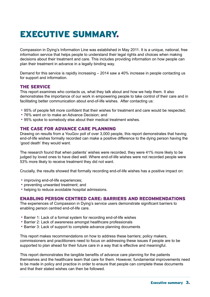# EXECUTIVE SUMMARY.

Compassion in Dying's Information Line was established in May 2011. It is a unique, national, free information service that helps people to understand their legal rights and choices when making decisions about their treatment and care. This includes providing information on how people can plan their treatment in advance in a legally binding way.

Demand for this service is rapidly increasing – 2014 saw a 40% increase in people contacting us for support and information.

### THE SERVICE

This report examines who contacts us, what they talk about and how we help them. It also demonstrates the importance of our work in empowering people to take control of their care and in facilitating better communication about end-of-life wishes. After contacting us:

- 95% of people felt more confident that their wishes for treatment and care would be respected;
- 76% went on to make an Advance Decision; and
- 95% spoke to somebody else about their medical treatment wishes.

### THE CASE FOR ADVANCE CARE PLANNING

Drawing on results from a YouGov poll of over 3,000 people, this report demonstrates that having end-of-life wishes formally recorded can make a positive difference to the dying person having the 'good death' they would want.

The research found that when patients' wishes were recorded, they were 41% more likely to be judged by loved ones to have died well. Where end-of-life wishes were not recorded people were 53% more likely to receive treatment they did not want.

Crucially, the results showed that formally recording end-of-life wishes has a positive impact on:

- improving end-of-life experiences;
- preventing unwanted treatment; and
- helping to reduce avoidable hospital admissions.

### ENABLING PERSON CENTRED CARE: BARRIERS AND RECOMMENDATIONS

The experiences of Compassion in Dying's service users demonstrate significant barriers to enabling person centred end-of-life care.

- Barrier 1: Lack of a formal system for recording end-of-life wishes
- Barrier 2: Lack of awareness amongst healthcare professionals
- Barrier 3: Lack of support to complete advance planning documents

This report makes recommendations on how to address these barriers; policy makers, commissioners and practitioners need to focus on addressing these issues if people are to be supported to plan ahead for their future care in a way that is effective and meaningful.

This report demonstrates the tangible benefits of advance care planning for the patients themselves and the healthcare team that care for them. However, fundamental improvements need to be made in policy and practice in order to ensure that people can complete these documents and that their stated wishes can then be followed.

Executive summary 3.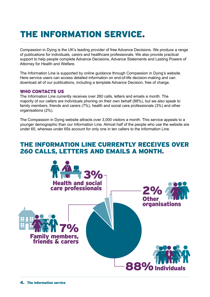# THE INFORMATION SERVICE.

Compassion in Dying is the UK's leading provider of free Advance Decisions. We produce a range of publications for individuals, carers and healthcare professionals. We also provide practical support to help people complete Advance Decisions, Advance Statements and Lasting Powers of Attorney for Health and Welfare.

The Information Line is supported by online guidance through Compassion in Dying's website. Here service users can access detailed information on end-of-life decision-making and can download all of our publications, including a template Advance Decision, free of charge.

### WHO CONTACTS US

The Information Line currently receives over 260 calls, letters and emails a month. The majority of our callers are individuals phoning on their own behalf (88%), but we also speak to family members, friends and carers (7%), health and social care professionals (3%) and other organisations (2%).

The Compassion in Dying website attracts over 3,000 visitors a month. This service appeals to a younger demographic than our Information Line. Almost half of the people who use the website are under 65, whereas under 65s account for only one in ten callers to the Information Line.

## THE INFORMATION LINE CURRENTLY RECEIVES OVER 260 CALLS, LETTERS AND EMAILS A MONTH.

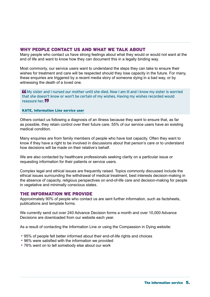### WHY PEOPLE CONTACT US AND WHAT WE TALK ABOUT

Many people who contact us have strong feelings about what they would or would not want at the end of life and want to know how they can document this in a legally binding way.

Most commonly, our service users want to understand the steps they can take to ensure their wishes for treatment and care will be respected should they lose capacity in the future. For many, these enquiries are triggered by a recent media story of someone dying in a bad way, or by witnessing the death of a loved one.

 My sister and I nursed our mother until she died. Now I am ill and I know my sister is worried that she doesn't know or won't be certain of my wishes. Having my wishes recorded would reassure her.

#### KATE, Information Line service user

Others contact us following a diagnosis of an illness because they want to ensure that, as far as possible, they retain control over their future care. 55% of our service users have an existing medical condition.

Many enquiries are from family members of people who have lost capacity. Often they want to know if they have a right to be involved in discussions about that person's care or to understand how decisions will be made on their relative's behalf.

We are also contacted by healthcare professionals seeking clarity on a particular issue or requesting information for their patients or service users.

Complex legal and ethical issues are frequently raised. Topics commonly discussed include the ethical issues surrounding the withdrawal of medical treatment, best interests decision-making in the absence of capacity, religious perspectives on end-of-life care and decision-making for people in vegetative and minimally conscious states.

### THE INFORMATION WE PROVIDE

Approximately 90% of people who contact us are sent further information, such as factsheets, publications and template forms.

We currently send out over 240 Advance Decision forms a month and over 10,000 Advance Decisions are downloaded from our website each year.

As a result of contacting the Information Line or using the Compassion in Dying website:

- 95% of people felt better informed about their end-of-life rights and choices
- 96% were satisfied with the information we provided
- 76% went on to tell somebody else about our work

The information service 5.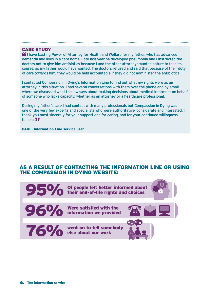### CASE STUDY

**If** I have Lasting Power of Attorney for Health and Welfare for my father, who has advanced dementia and lives in a care home. Late last year he developed pneumonia and I instructed the doctors not to give him antibiotics because I and the other attorneys wanted nature to take its course, as my father would have wanted. The doctors refused and said that because of their duty of care towards him, they would be held accountable if they did not administer the antibiotics.

I contacted Compassion in Dying's Information Line to find out what my rights were as an attorney in this situation. I had several conversations with them over the phone and by email where we discussed what the law says about making decisions about medical treatment on behalf of someone who lacks capacity, whether as an attorney or a healthcare professional.

During my father's care I had contact with many professionals but Compassion in Dying was one of the very few experts and specialists who were authoritative, considerate and interested. I thank you most sincerely for your support and for caring, and for your continued willingness to help. 77

PAUL, Information Line service user

### AS A RESULT OF CONTACTING THE INFORMATION LINE OR USING THE COMPASSION IN DYING WEBSITE:

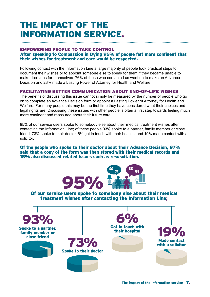# THE IMPACT OF THE INFORMATION SERVICE.

### EMPOWERING PEOPLE TO TAKE CONTROL After speaking to Compassion in Dying 95% of people felt more confident that their wishes for treatment and care would be respected.

Following contact with the Information Line a large majority of people took practical steps to document their wishes or to appoint someone else to speak for them if they became unable to make decisions for themselves. 76% of those who contacted us went on to make an Advance Decision and 23% made a Lasting Power of Attorney for Health and Welfare.

### FACILITATING BETTER COMMUNICATION ABOUT END-OF-LIFE WISHES

The benefits of discussing this issue cannot simply be measured by the number of people who go on to complete an Advance Decision form or appoint a Lasting Power of Attorney for Health and Welfare. For many people this may be the first time they have considered what their choices and legal rights are. Discussing these issues with other people is often a first step towards feeling much more confident and reassured about their future care.

95% of our service users spoke to somebody else about their medical treatment wishes after contacting the Information Line; of these people 93% spoke to a partner, family member or close friend, 73% spoke to their doctor, 6% got in touch with their hospital and 19% made contact with a solicitor.

### Of the people who spoke to their doctor about their Advance Decision, 97% said that a copy of the form was then stored with their medical records and 18% also discussed related issues such as resuscitation.



Of our service users spoke to somebody else about their medical treatment wishes after contacting the Information Line;

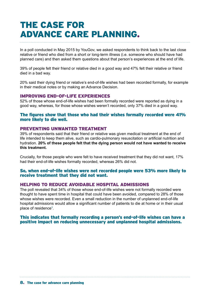# THE CASE FOR ADVANCE CARE PLANNING.

In a poll conducted in May 2015 by YouGov, we asked respondents to think back to the last close relative or friend who died from a short or long-term illness (i.e. someone who should have had planned care) and then asked them questions about that person's experiences at the end of life.

39% of people felt their friend or relative died in a good way and 47% felt their relative or friend died in a bad way.

20% said their dying friend or relative's end-of-life wishes had been recorded formally, for example in their medical notes or by making an Advance Decision.

### IMPROVING END-OF-LIFE EXPERIENCES

52% of those whose end-of-life wishes had been formally recorded were reported as dying in a good way, whereas, for those whose wishes weren't recorded, only 37% died in a good way.

### The figures show that those who had their wishes formally recorded were 41% more likely to die well.

### PREVENTING UNWANTED TREATMENT

39% of respondents said that their friend or relative was given medical treatment at the end of life intended to keep them alive, such as cardio-pulmonary resuscitation or artificial nutrition and hydration. **20% of these people felt that the dying person would not have wanted to receive this treatment.**

Crucially, for those people who were felt to have received treatment that they did not want, 17% had their end-of-life wishes formally recorded, whereas 26% did not.

### So, when end-of-life wishes were not recorded people were 53% more likely to receive treatment that they did not want.

#### HELPING TO REDUCE AVOIDABLE HOSPITAL ADMISSIONS

The poll revealed that 34% of those whose end-of-life wishes were not formally recorded were thought to have spent time in hospital that could have been avoided, compared to 28% of those whose wishes were recorded. Even a small reduction in the number of unplanned end-of-life hospital admissions would allow a significant number of patients to die at home or in their usual place of residence**<sup>1</sup>** .

### This indicates that formally recording a person's end-of-life wishes can have a positive impact on reducing unnecessary and unplanned hospital admissions.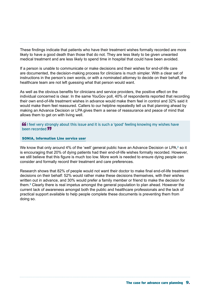These findings indicate that patients who have their treatment wishes formally recorded are more likely to have a good death than those that do not. They are less likely to be given unwanted medical treatment and are less likely to spend time in hospital that could have been avoided.

If a person is unable to communicate or make decisions and their wishes for end-of-life care are documented, the decision-making process for clinicians is much simpler. With a clear set of instructions in the person's own words, or with a nominated attorney to decide on their behalf, the healthcare team are not left guessing what that person would want.

As well as the obvious benefits for clinicians and service providers, the positive effect on the individual concerned is clear. In the same YouGov poll, 40% of respondents reported that recording their own end-of-life treatment wishes in advance would make them feel in control and 32% said it would make them feel reassured. Callers to our helpline repeatedly tell us that planning ahead by making an Advance Decision or LPA gives them a sense of reassurance and peace of mind that allows them to get on with living well.

 $\mathbf{f}$  I feel very strongly about this issue and it is such a 'good' feeling knowing my wishes have been recorded **77** 

#### SONIA, Information Line service user

We know that only around 4% of the 'well' general public have an Advance Decision or LPA,<sup>2</sup> so it is encouraging that 20% of dying patients had their end-of-life wishes formally recorded. However, we still believe that this figure is much too low. More work is needed to ensure dying people can consider and formally record their treatment and care preferences.

Research shows that 82% of people would not want their doctor to make final end-of-life treatment decisions on their behalf: 52% would rather make these decisions themselves, with their wishes written out in advance, and 30% would prefer a family member or friend to make the decision for them.**<sup>3</sup>** Clearly there is real impetus amongst the general population to plan ahead. However the current lack of awareness amongst both the public and healthcare professionals and the lack of practical support available to help people complete these documents is preventing them from doing so.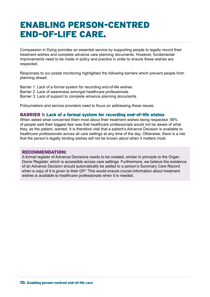# ENABLING PERSON-CENTRED END-OF-LIFE CARE.

Compassion in Dying provides an essential service by supporting people to legally record their treatment wishes and complete advance care planning documents. However, fundamental improvements need to be made in policy and practice in order to ensure these wishes are respected.

Responses to our postal monitoring highlighted the following barriers which prevent people from planning ahead:

Barrier 1: Lack of a formal system for recording end-of-life wishes Barrier 2: Lack of awareness amongst healthcare professionals Barrier 3: Lack of support to complete advance planning documents.

Policymakers and service providers need to focus on addressing these issues.

### BARRIER 1: Lack of a formal system for recording end-of-life wishes

When asked what concerned them most about their treatment wishes being respected, 58% of people said their biggest fear was that healthcare professionals would not be aware of what they, as the patient, wanted. It is therefore vital that a patient's Advance Decision is available to healthcare professionals across all care settings at any time of the day. Otherwise, there is a risk that the person's legally binding wishes will not be known about when it matters most.

### RECOMMENDATION:

A formal register of Advance Decisions needs to be created, similar in principle to the Organ Donor Register, which is accessible across care settings. Furthermore, we believe the existence of an Advance Decision should automatically be added to a person's Summary Care Record when a copy of it is given to their GP.<sup>4</sup> This would ensure crucial information about treatment wishes is available to healthcare professionals when it is needed.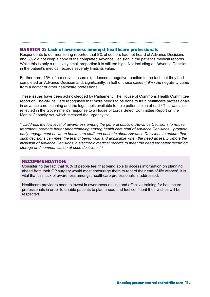### BARRIER 2: Lack of awareness amongst healthcare professionals

Respondents to our monitoring reported that 8% of doctors had not heard of Advance Decisions and 3% did not keep a copy of the completed Advance Decision in the patient's medical records. While this is only a relatively small proportion it is still too high. Not including an Advance Decision in the patient's medical records severely limits its value.

Furthermore, 15% of our service users experienced a negative reaction to the fact that they had completed an Advance Decision and, significantly, in half of these cases (49%) the negativity came from a doctor or other healthcare professional.

These issues have been acknowledged by Parliament. The House of Commons Health Committee report on End-of-Life Care recognised that more needs to be done to train healthcare professionals in advance care planning and the legal tools available to help patients plan ahead.**<sup>5</sup>** This was also reflected in the Government's response to a House of Lords Select Committee Report on the Mental Capacity Act, which stressed the urgency to:

*"…address the low level of awareness among the general public of Advance Decisions to refuse treatment; promote better understanding among health care staff of Advance Decisions…promote early engagement between healthcare staff and patients about Advance Decisions to ensure that such decisions can meet the test of being valid and applicable when the need arises; promote the inclusion of Advance Decisions in electronic medical records to meet the need for better recording, storage and communication of such decisions."* **<sup>6</sup>**

### RECOMMENDATION:

Considering the fact that 18% of people feel that being able to access information on planning ahead from their GP surgery would most encourage them to record their end-of-life wishes**<sup>7</sup>** , it is vital that this lack of awareness amongst healthcare professionals is addressed.

Healthcare providers need to invest in awareness-raising and effective training for healthcare professionals in order to enable patients to plan ahead and feel confident their wishes will be respected.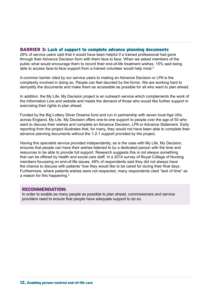### BARRIER 3: Lack of support to complete advance planning documents

29% of service users said that it would have been helpful if a trained professional had gone through their Advance Decision form with them face to face. When we asked members of the public what would encourage them to record their end-of-life treatment wishes, 15% said being able to access face-to-face support from a trained volunteer would help most.**<sup>6</sup>**

A common barrier cited by our service users to making an Advance Decision or LPA is the complexity involved in doing so. People can feel daunted by the forms. We are working hard to demystify the documents and make them as accessible as possible for all who want to plan ahead.

In addition, the My Life, My Decision project is an outreach service which complements the work of the Information Line and website and meets the demand of those who would like further support in exercising their rights to plan ahead.

Funded by the Big Lottery Silver Dreams fund and run in partnership with seven local Age UKs across England, My Life, My Decision offers one-to-one support to people over the age of 50 who want to discuss their wishes and complete an Advance Decision, LPA or Advance Statement. Early reporting from the project illustrates that, for many, they would not have been able to complete their advance planning documents without the 1-2-1 support provided by the project.

Having this specialist service provided independently, as is the case with My Life, My Decision, ensures that people can have their wishes listened to by a dedicated person with the time and resources to be able to provide full support. Research suggests this is not always something that can be offered by health and social care staff. In a 2014 survey of Royal College of Nursing members focussing on end-of-life issues, 49% of respondents said they did not always have the chance to discuss with patients' how they would like to be cared for during their final days. Furthermore, where patients wishes were not respected, many respondents cited "lack of time" as a reason for this happening.**<sup>8</sup>**

### RECOMMENDATION:

In order to enable as many people as possible to plan ahead, commissioners and service providers need to ensure that people have adequate support to do so.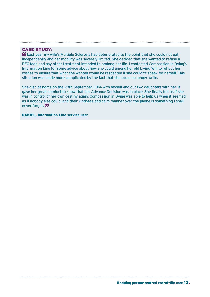### CASE STUDY:

 Last year my wife's Multiple Sclerosis had deteriorated to the point that she could not eat independently and her mobility was severely limited. She decided that she wanted to refuse a PEG feed and any other treatment intended to prolong her life. I contacted Compassion in Dying's Information Line for some advice about how she could amend her old Living Will to reflect her wishes to ensure that what she wanted would be respected if she couldn't speak for herself. This situation was made more complicated by the fact that she could no longer write.

She died at home on the 29th September 2014 with myself and our two daughters with her. It gave her great comfort to know that her Advance Decision was in place. She finally felt as if she was in control of her own destiny again. Compassion in Dying was able to help us when it seemed as if nobody else could, and their kindness and calm manner over the phone is something I shall never forget. 77

DANIEL, Information Line service user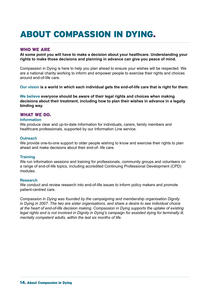# ABOUT COMPASSION IN DYING.

### WHO WE ARE

**At some point you will have to make a decision about your healthcare. Understanding your rights to make those decisions and planning in advance can give you peace of mind.**

Compassion in Dying is here to help you plan ahead to ensure your wishes will be respected. We are a national charity working to inform and empower people to exercise their rights and choices around end-of-life care.

**Our vision is a world in which each individual gets the end-of-life care that is right for them.**

**We believe everyone should be aware of their legal rights and choices when making decisions about their treatment, including how to plan their wishes in advance in a legally binding way.**

### WHAT WE DO.

#### **Information**

We produce clear and up-to-date information for individuals, carers, family members and healthcare professionals, supported by our Information Line service.

#### **Outreach**

We provide one-to-one support to older people wishing to know and exercise their rights to plan ahead and make decisions about their end-of- life care.

### **Training**

We run information sessions and training for professionals, community groups and volunteers on a range of end-of-life topics, including accredited Continuing Professional Development (CPD) modules.

### **Research**

We conduct and review research into end-of-life issues to inform policy makers and promote patient-centred care.

*Compassion in Dying was founded by the campaigning and membership organisation Dignity in Dying in 2007. The two are sister organisations, and share a desire to see individual choice at the heart of end-of-life decision making. Compassion in Dying supports the uptake of existing legal rights and is not involved in Dignity in Dying's campaign for assisted dying for terminally ill, mentally competent adults, within the last six months of life.*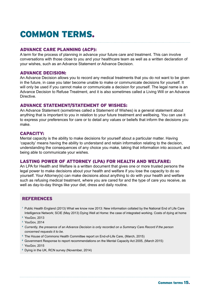# COMMON TERMS.

### ADVANCE CARE PLANNING (ACP):

A term for the process of planning in advance your future care and treatment. This can involve conversations with those close to you and your healthcare team as well as a written declaration of your wishes, such as an Advance Statement or Advance Decision.

### ADVANCE DECISION:

An Advance Decision allows you to record any medical treatments that you do not want to be given in the future, in case you later become unable to make or communicate decisions for yourself. It will only be used if you cannot make or communicate a decision for yourself. The legal name is an Advance Decision to Refuse Treatment, and it is also sometimes called a Living Will or an Advance Directive.

### ADVANCE STATEMENT/STATEMENT OF WISHES:

An Advance Statement (sometimes called a Statement of Wishes) is a general statement about anything that is important to you in relation to your future treatment and wellbeing. You can use it to express your preferences for care or to detail any values or beliefs that inform the decisions you make.

### CAPACITY:

Mental capacity is the ability to make decisions for yourself about a particular matter. Having 'capacity' means having the ability to understand and retain information relating to the decision, understanding the consequences of any choice you make, taking that information into account, and being able to communicate your wishes.

### LASTING POWER OF ATTORNEY (LPA) FOR HEALTH AND WELFARE:

An LPA for Health and Welfare is a written document that gives one or more trusted persons the legal power to make decisions about your health and welfare if you lose the capacity to do so yourself. Your Attorney(s) can make decisions about anything to do with your health and welfare such as refusing medical treatment, where you are cared for and the type of care you receive, as well as day-to-day things like your diet, dress and daily routine.

### REFERENCES

- **<sup>1</sup>**Public Health England (2013) What we know now 2013: New information collated by the National End of Life Care Intelligence Network; SCIE (May 2013) Dying Well at Home: the case of integrated working. Costs of dying at home
- **<sup>2</sup>**YouGov, 2013
- **<sup>3</sup>**YouGov, 2014
- **<sup>4</sup>***Currently, the presence of an Advance Decision is only recorded on a Summary Care Record if the person concerned requests it to be.*
- **<sup>5</sup>**The House of Commons Health Committee report on End-of-Life Care, (March, 2015)
- **<sup>6</sup>**Government Response to report recommendations on the Mental Capacity Act 2005, (March 2015)
- **<sup>7</sup>**YouGov, 2015
- **<sup>8</sup>**Dying in the UK, RCN survey (November, 2014)

Common terms 15.